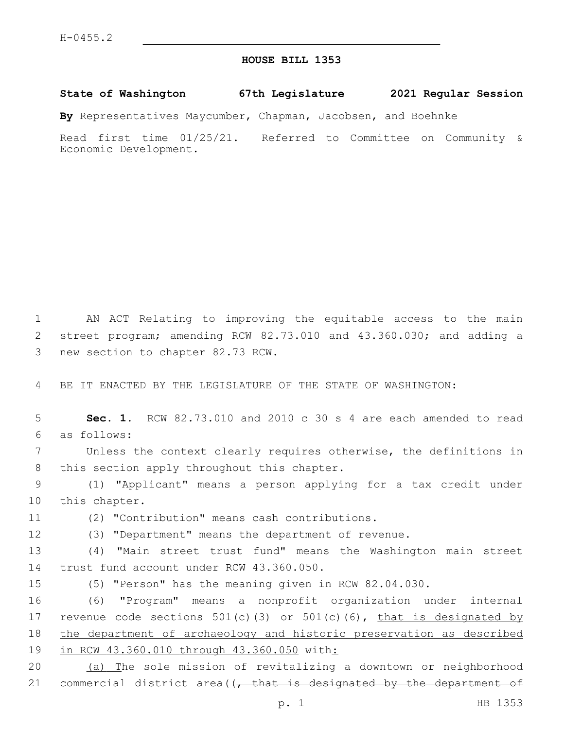## **HOUSE BILL 1353**

**State of Washington 67th Legislature 2021 Regular Session**

**By** Representatives Maycumber, Chapman, Jacobsen, and Boehnke

Read first time 01/25/21. Referred to Committee on Community & Economic Development.

1 AN ACT Relating to improving the equitable access to the main 2 street program; amending RCW 82.73.010 and 43.360.030; and adding a 3 new section to chapter 82.73 RCW.

4 BE IT ENACTED BY THE LEGISLATURE OF THE STATE OF WASHINGTON:

5 **Sec. 1.** RCW 82.73.010 and 2010 c 30 s 4 are each amended to read as follows:6

7 Unless the context clearly requires otherwise, the definitions in 8 this section apply throughout this chapter.

9 (1) "Applicant" means a person applying for a tax credit under 10 this chapter.

(2) "Contribution" means cash contributions.11

12 (3) "Department" means the department of revenue.

13 (4) "Main street trust fund" means the Washington main street 14 trust fund account under RCW 43.360.050.

15 (5) "Person" has the meaning given in RCW 82.04.030.

 (6) "Program" means a nonprofit organization under internal 17 revenue code sections 501(c)(3) or 501(c)(6), that is designated by the department of archaeology and historic preservation as described in RCW 43.360.010 through 43.360.050 with:

20 (a) The sole mission of revitalizing a downtown or neighborhood 21 commercial district area( $(-$  that is designated by the department of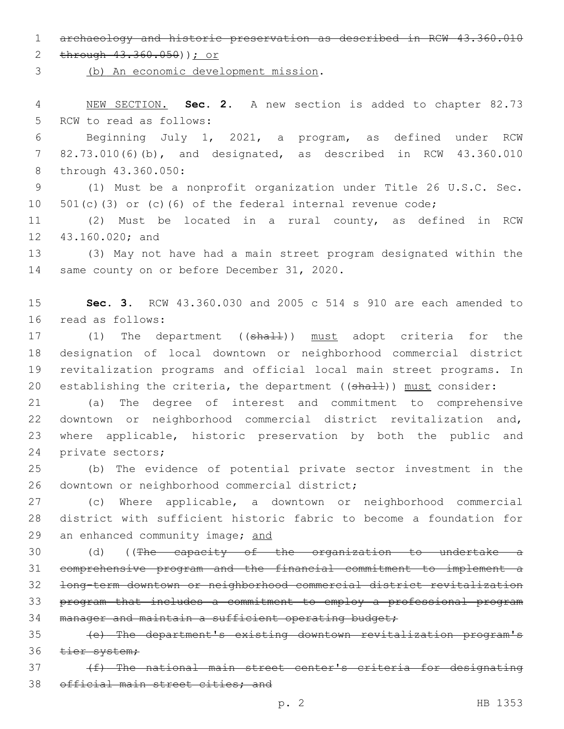1 archaeology and historic preservation as described in RCW 43.360.010

2 through  $43.360.050$ )) *j* or

(b) An economic development mission.

4 NEW SECTION. **Sec. 2.** A new section is added to chapter 82.73 5 RCW to read as follows:

6 Beginning July 1, 2021, a program, as defined under RCW 7 82.73.010(6)(b), and designated, as described in RCW 43.360.010 8 through 43.360.050:

9 (1) Must be a nonprofit organization under Title 26 U.S.C. Sec. 10 501(c)(3) or (c)(6) of the federal internal revenue code;

11 (2) Must be located in a rural county, as defined in RCW 12 43.160.020; and

13 (3) May not have had a main street program designated within the 14 same county on or before December 31, 2020.

15 **Sec. 3.** RCW 43.360.030 and 2005 c 514 s 910 are each amended to 16 read as follows:

17 (1) The department ((shall)) must adopt criteria for the 18 designation of local downtown or neighborhood commercial district 19 revitalization programs and official local main street programs. In 20 establishing the criteria, the department ( $(\text{sha1+})$ ) must consider:

 (a) The degree of interest and commitment to comprehensive downtown or neighborhood commercial district revitalization and, where applicable, historic preservation by both the public and 24 private sectors;

25 (b) The evidence of potential private sector investment in the 26 downtown or neighborhood commercial district;

27 (c) Where applicable, a downtown or neighborhood commercial 28 district with sufficient historic fabric to become a foundation for 29 an enhanced community image; and

 (d) ((The capacity of the organization to undertake a comprehensive program and the financial commitment to implement a long-term downtown or neighborhood commercial district revitalization program that includes a commitment to employ a professional program 34 manager and maintain a sufficient operating budget;

35 (e) The department's existing downtown revitalization program's 36 tier system;

37 (f) The national main street center's criteria for designating 38 official main street cities; and